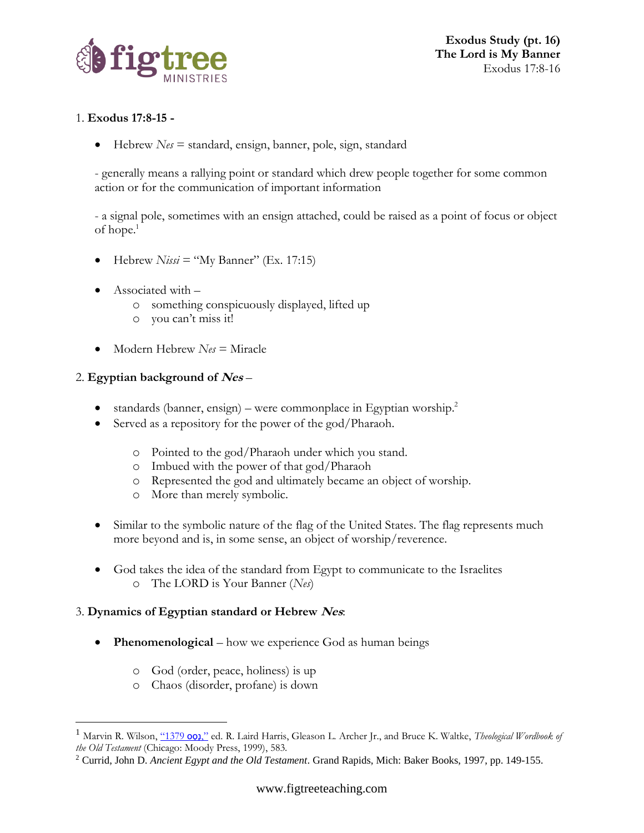

**Exodus Study (pt. 16) The Lord is My Banner** Exodus 17:8-16

# 1. **Exodus 17:8-15 -**

• Hebrew *Nes* = standard, ensign, banner, pole, sign, standard

- generally means a rallying point or standard which drew people together for some common action or for the communication of important information

- a signal pole, sometimes with an ensign attached, could be raised as a point of focus or object of hope.<sup>1</sup>

- Hebrew  $Nissi = "My Banner"$  (Ex. 17:15)
- Associated with
	- o something conspicuously displayed, lifted up
	- o you can't miss it!
- Modern Hebrew *Nes* = Miracle

## 2. **Egyptian background of Nes** –

- standards (banner, ensign) were commonplace in Egyptian worship.<sup>2</sup>
- Served as a repository for the power of the god/Pharaoh.
	- o Pointed to the god/Pharaoh under which you stand.
	- o Imbued with the power of that god/Pharaoh
	- o Represented the god and ultimately became an object of worship.
	- o More than merely symbolic.
- Similar to the symbolic nature of the flag of the United States. The flag represents much more beyond and is, in some sense, an object of worship/reverence.
- God takes the idea of the standard from Egypt to communicate to the Israelites o The LORD is Your Banner (*Nes*)

## 3. **Dynamics of Egyptian standard or Hebrew Nes**:

- **Phenomenological** how we experience God as human beings
	- o God (order, peace, holiness) is up
	- o Chaos (disorder, profane) is down

Marvin R. Wilson, ["1379](https://ref.ly/logosres/twot?ref=Page.p+583&off=818&ctx=r+community.+There%2c+~a+signal+pole%2c+somet) og)," ed. R. Laird Harris, Gleason L. Archer Jr., and Bruce K. Waltke, *Theological Wordbook of the Old Testament* (Chicago: Moody Press, 1999), 583.

<sup>2</sup> Currid, John D. *Ancient Egypt and the Old Testament*. Grand Rapids, Mich: Baker Books, 1997, pp. 149-155.